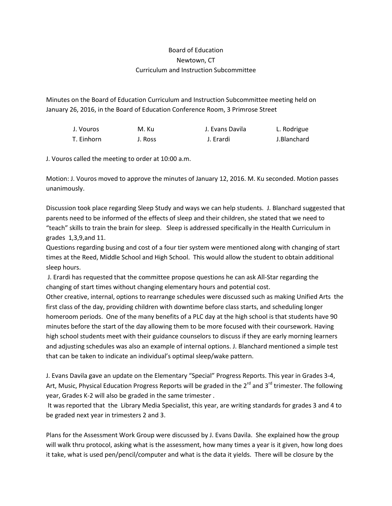## Board of Education Newtown, CT Curriculum and Instruction Subcommittee

Minutes on the Board of Education Curriculum and Instruction Subcommittee meeting held on January 26, 2016, in the Board of Education Conference Room, 3 Primrose Street

| J. Vouros  | M. Ku   | J. Evans Davila | L. Rodrigue |
|------------|---------|-----------------|-------------|
| T. Einhorn | J. Ross | J. Erardi       | J.Blanchard |

J. Vouros called the meeting to order at 10:00 a.m.

Motion: J. Vouros moved to approve the minutes of January 12, 2016. M. Ku seconded. Motion passes unanimously.

Discussion took place regarding Sleep Study and ways we can help students. J. Blanchard suggested that parents need to be informed of the effects of sleep and their children, she stated that we need to "teach" skills to train the brain for sleep. Sleep is addressed specifically in the Health Curriculum in grades 1,3,9,and 11.

Questions regarding busing and cost of a four tier system were mentioned along with changing of start times at the Reed, Middle School and High School. This would allow the student to obtain additional sleep hours.

J. Erardi has requested that the committee propose questions he can ask All-Star regarding the changing of start times without changing elementary hours and potential cost.

Other creative, internal, options to rearrange schedules were discussed such as making Unified Arts the first class of the day, providing children with downtime before class starts, and scheduling longer homeroom periods. One of the many benefits of a PLC day at the high school is that students have 90 minutes before the start of the day allowing them to be more focused with their coursework. Having high school students meet with their guidance counselors to discuss if they are early morning learners and adjusting schedules was also an example of internal options. J. Blanchard mentioned a simple test that can be taken to indicate an individual's optimal sleep/wake pattern.

J. Evans Davila gave an update on the Elementary "Special" Progress Reports. This year in Grades 3-4, Art, Music, Physical Education Progress Reports will be graded in the  $2^{rd}$  and  $3^{rd}$  trimester. The following year, Grades K-2 will also be graded in the same trimester .

It was reported that the Library Media Specialist, this year, are writing standards for grades 3 and 4 to be graded next year in trimesters 2 and 3.

Plans for the Assessment Work Group were discussed by J. Evans Davila. She explained how the group will walk thru protocol, asking what is the assessment, how many times a year is it given, how long does it take, what is used pen/pencil/computer and what is the data it yields. There will be closure by the